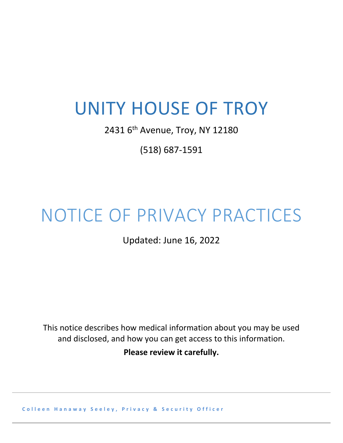## UNITY HOUSE OF TROY

2431 6<sup>th</sup> Avenue, Troy, NY 12180

(518) 687-1591

## NOTICE OF PRIVACY PRACTICES

Updated: June 16, 2022

This notice describes how medical information about you may be used and disclosed, and how you can get access to this information.

**Please review it carefully.**

**Colleen Hanaway Seeley , Privacy & Security Officer**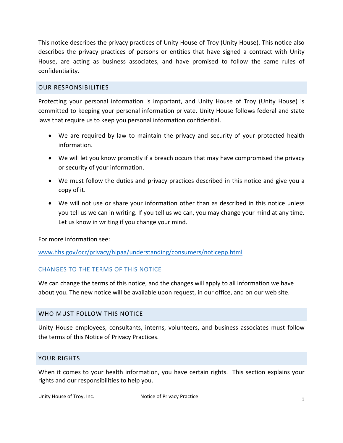This notice describes the privacy practices of Unity House of Troy (Unity House). This notice also describes the privacy practices of persons or entities that have signed a contract with Unity House, are acting as business associates, and have promised to follow the same rules of confidentiality.

#### OUR RESPONSIBILITIES

Protecting your personal information is important, and Unity House of Troy (Unity House) is committed to keeping your personal information private. Unity House follows federal and state laws that require us to keep you personal information confidential.

- We are required by law to maintain the privacy and security of your protected health information.
- We will let you know promptly if a breach occurs that may have compromised the privacy or security of your information.
- We must follow the duties and privacy practices described in this notice and give you a copy of it.
- We will not use or share your information other than as described in this notice unless you tell us we can in writing. If you tell us we can, you may change your mind at any time. Let us know in writing if you change your mind.

For more information see:

## [www.hhs.gov/ocr/privacy/hipaa/understanding/consumers/noticepp.html](http://www.hhs.gov/ocr/privacy/hipaa/understanding/consumers/noticepp.html)

## CHANGES TO THE TERMS OF THIS NOTICE

We can change the terms of this notice, and the changes will apply to all information we have about you. The new notice will be available upon request, in our office, and on our web site.

#### WHO MUST FOLLOW THIS NOTICE

Unity House employees, consultants, interns, volunteers, and business associates must follow the terms of this Notice of Privacy Practices.

#### YOUR RIGHTS

When it comes to your health information, you have certain rights. This section explains your rights and our responsibilities to help you.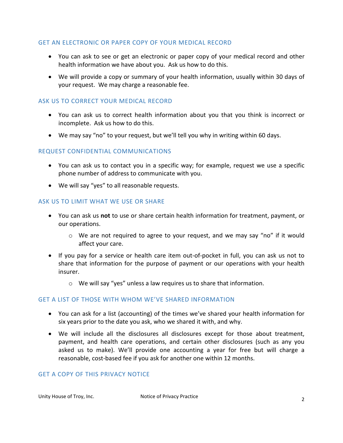## GET AN ELECTRONIC OR PAPER COPY OF YOUR MEDICAL RECORD

- You can ask to see or get an electronic or paper copy of your medical record and other health information we have about you. Ask us how to do this.
- We will provide a copy or summary of your health information, usually within 30 days of your request. We may charge a reasonable fee.

## ASK US TO CORRECT YOUR MEDICAL RECORD

- You can ask us to correct health information about you that you think is incorrect or incomplete. Ask us how to do this.
- We may say "no" to your request, but we'll tell you why in writing within 60 days.

#### REQUEST CONFIDENTIAL COMMUNICATIONS

- You can ask us to contact you in a specific way; for example, request we use a specific phone number of address to communicate with you.
- We will say "yes" to all reasonable requests.

#### ASK US TO LIMIT WHAT WE USE OR SHARE

- You can ask us **not** to use or share certain health information for treatment, payment, or our operations.
	- o We are not required to agree to your request, and we may say "no" if it would affect your care.
- If you pay for a service or health care item out-of-pocket in full, you can ask us not to share that information for the purpose of payment or our operations with your health insurer.
	- o We will say "yes" unless a law requires us to share that information.

## GET A LIST OF THOSE WITH WHOM WE'VE SHARED INFORMATION

- You can ask for a list (accounting) of the times we've shared your health information for six years prior to the date you ask, who we shared it with, and why.
- We will include all the disclosures all disclosures except for those about treatment, payment, and health care operations, and certain other disclosures (such as any you asked us to make). We'll provide one accounting a year for free but will charge a reasonable, cost-based fee if you ask for another one within 12 months.

#### GET A COPY OF THIS PRIVACY NOTICE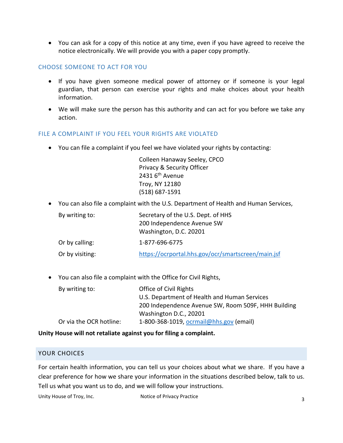• You can ask for a copy of this notice at any time, even if you have agreed to receive the notice electronically. We will provide you with a paper copy promptly.

#### CHOOSE SOMEONE TO ACT FOR YOU

- If you have given someone medical power of attorney or if someone is your legal guardian, that person can exercise your rights and make choices about your health information.
- We will make sure the person has this authority and can act for you before we take any action.

#### FILE A COMPLAINT IF YOU FEEL YOUR RIGHTS ARE VIOLATED

• You can file a complaint if you feel we have violated your rights by contacting:

Colleen Hanaway Seeley, CPCO Privacy & Security Officer  $2431$  6<sup>th</sup> Avenue Troy, NY 12180 (518) 687-1591

• You can also file a complaint with the U.S. Department of Health and Human Services,

| By writing to:  | Secretary of the U.S. Dept. of HHS<br>200 Independence Avenue SW<br>Washington, D.C. 20201 |
|-----------------|--------------------------------------------------------------------------------------------|
| Or by calling:  | 1-877-696-6775                                                                             |
| Or by visiting: | https://ocrportal.hhs.gov/ocr/smartscreen/main.jsf                                         |

• You can also file a complaint with the Office for Civil Rights,

| By writing to:          | Office of Civil Rights                              |
|-------------------------|-----------------------------------------------------|
|                         | U.S. Department of Health and Human Services        |
|                         | 200 Independence Avenue SW, Room 509F, HHH Building |
|                         | Washington D.C., 20201                              |
| Or via the OCR hotline: | 1-800-368-1019, ocrmail@hhs.gov (email)             |

**Unity House will not retaliate against you for filing a complaint.**

#### YOUR CHOICES

For certain health information, you can tell us your choices about what we share. If you have a clear preference for how we share your information in the situations described below, talk to us. Tell us what you want us to do, and we will follow your instructions.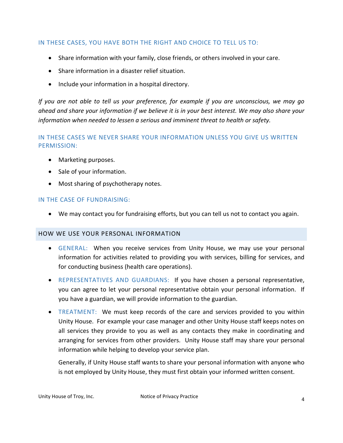## IN THESE CASES, YOU HAVE BOTH THE RIGHT AND CHOICE TO TELL US TO:

- Share information with your family, close friends, or others involved in your care.
- Share information in a disaster relief situation.
- Include your information in a hospital directory.

*If you are not able to tell us your preference, for example if you are unconscious, we may go ahead and share your information if we believe it is in your best interest. We may also share your information when needed to lessen a serious and imminent threat to health or safety.*

## IN THESE CASES WE NEVER SHARE YOUR INFORMATION UNLESS YOU GIVE US WRITTEN PERMISSION:

- Marketing purposes.
- Sale of your information.
- Most sharing of psychotherapy notes.

## IN THE CASE OF FUNDRAISING:

• We may contact you for fundraising efforts, but you can tell us not to contact you again.

## HOW WE USE YOUR PERSONAL INFORMATION

- GENERAL: When you receive services from Unity House, we may use your personal information for activities related to providing you with services, billing for services, and for conducting business (health care operations).
- REPRESENTATIVES AND GUARDIANS: If you have chosen a personal representative, you can agree to let your personal representative obtain your personal information. If you have a guardian, we will provide information to the guardian.
- TREATMENT: We must keep records of the care and services provided to you within Unity House. For example your case manager and other Unity House staff keeps notes on all services they provide to you as well as any contacts they make in coordinating and arranging for services from other providers. Unity House staff may share your personal information while helping to develop your service plan.

Generally, if Unity House staff wants to share your personal information with anyone who is not employed by Unity House, they must first obtain your informed written consent.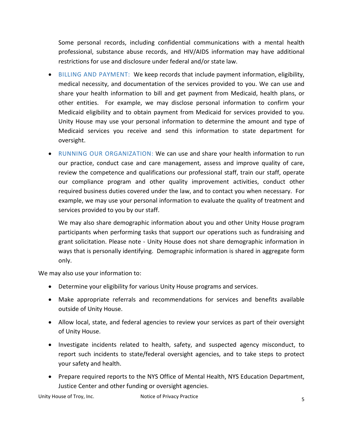Some personal records, including confidential communications with a mental health professional, substance abuse records, and HIV/AIDS information may have additional restrictions for use and disclosure under federal and/or state law.

- BILLING AND PAYMENT: We keep records that include payment information, eligibility, medical necessity, and documentation of the services provided to you. We can use and share your health information to bill and get payment from Medicaid, health plans, or other entities. For example, we may disclose personal information to confirm your Medicaid eligibility and to obtain payment from Medicaid for services provided to you. Unity House may use your personal information to determine the amount and type of Medicaid services you receive and send this information to state department for oversight.
- RUNNING OUR ORGANIZATION: We can use and share your health information to run our practice, conduct case and care management, assess and improve quality of care, review the competence and qualifications our professional staff, train our staff, operate our compliance program and other quality improvement activities, conduct other required business duties covered under the law, and to contact you when necessary. For example, we may use your personal information to evaluate the quality of treatment and services provided to you by our staff.

We may also share demographic information about you and other Unity House program participants when performing tasks that support our operations such as fundraising and grant solicitation. Please note - Unity House does not share demographic information in ways that is personally identifying. Demographic information is shared in aggregate form only.

We may also use your information to:

- Determine your eligibility for various Unity House programs and services.
- Make appropriate referrals and recommendations for services and benefits available outside of Unity House.
- Allow local, state, and federal agencies to review your services as part of their oversight of Unity House.
- Investigate incidents related to health, safety, and suspected agency misconduct, to report such incidents to state/federal oversight agencies, and to take steps to protect your safety and health.
- Prepare required reports to the NYS Office of Mental Health, NYS Education Department, Justice Center and other funding or oversight agencies.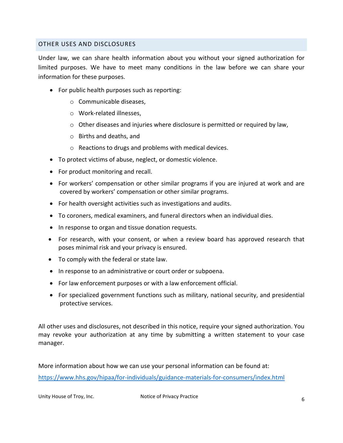#### OTHER USES AND DISCLOSURES

Under law, we can share health information about you without your signed authorization for limited purposes. We have to meet many conditions in the law before we can share your information for these purposes.

- For public health purposes such as reporting:
	- o Communicable diseases,
	- o Work-related illnesses,
	- $\circ$  Other diseases and injuries where disclosure is permitted or required by law,
	- o Births and deaths, and
	- o Reactions to drugs and problems with medical devices.
- To protect victims of abuse, neglect, or domestic violence.
- For product monitoring and recall.
- For workers' compensation or other similar programs if you are injured at work and are covered by workers' compensation or other similar programs.
- For health oversight activities such as investigations and audits.
- To coroners, medical examiners, and funeral directors when an individual dies.
- In response to organ and tissue donation requests.
- For research, with your consent, or when a review board has approved research that poses minimal risk and your privacy is ensured.
- To comply with the federal or state law.
- In response to an administrative or court order or subpoena.
- For law enforcement purposes or with a law enforcement official.
- For specialized government functions such as military, national security, and presidential protective services.

All other uses and disclosures, not described in this notice, require your signed authorization. You may revoke your authorization at any time by submitting a written statement to your case manager.

More information about how we can use your personal information can be found at: <https://www.hhs.gov/hipaa/for-individuals/guidance-materials-for-consumers/index.html>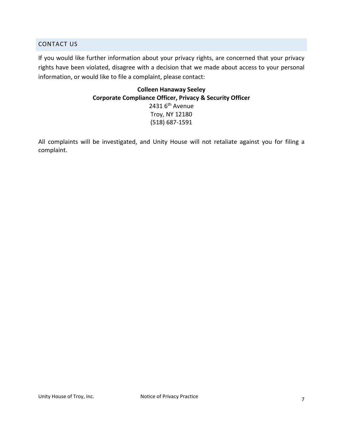#### CONTACT US

If you would like further information about your privacy rights, are concerned that your privacy rights have been violated, disagree with a decision that we made about access to your personal information, or would like to file a complaint, please contact:

> **Colleen Hanaway Seeley Corporate Compliance Officer, Privacy & Security Officer** 2431  $6<sup>th</sup>$  Avenue Troy, NY 12180 (518) 687-1591

All complaints will be investigated, and Unity House will not retaliate against you for filing a complaint.